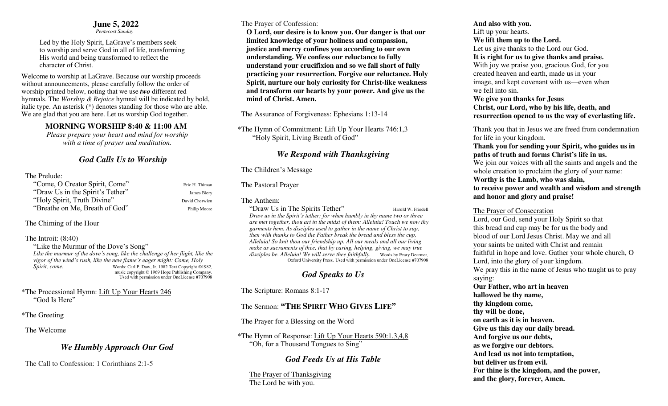#### **June 5, 2022**

 *Pentecost Sunday* 

Led by the Holy Spirit, LaGrave's members seek to worship and serve God in all of life, transforming His world and being transformed to reflect the character of Christ.

Welcome to worship at LaGrave. Because our worship proceeds without announcements, please carefully follow the order of worship printed below, noting that we use *two* different red hymnals. The *Worship & Rejoice* hymnal will be indicated by bold, italic type. An asterisk (\*) denotes standing for those who are able. We are glad that you are here. Let us worship God together.

## **MORNING WORSHIP 8:40 & 11:00 AM**

*Please prepare your heart and mind for worship with a time of prayer and meditation.* 

# *God Calls Us to Worship*

## The Prelude:

| "Come, O Creator Spirit, Come"   | Eric H. Thiman |
|----------------------------------|----------------|
| "Draw Us in the Spirit's Tether" | James Biery    |
| "Holy Spirit, Truth Divine"      | David Cherwien |
| "Breathe on Me, Breath of God"   | Philip Moore   |

The Chiming of the Hour

### The Introit: (8:40)

"Like the Murmur of the Dove's Song" *Like the murmur of the dove's song, like the challenge of her flight, like the vigor of the wind's rush, like the new flame's eager might: Come, Holy Spirit, come.* Words: Carl P. Daw, Jr. 1982 Text Copyright ©1982, music copyright © 1969 Hope Publishing Company. Used with permission under OneLicense #707908

\*The Processional Hymn: Lift Up Your Hearts 246 "God Is Here"

### \*The Greeting

The Welcome

## *We Humbly Approach Our God*

The Call to Confession: 1 Corinthians 2:1-5

## The Prayer of Confession:

 **O Lord, our desire is to know you. Our danger is that our limited knowledge of your holiness and compassion, justice and mercy confines you according to our own understanding. We confess our reluctance to fully understand your crucifixion and so we fall short of fully practicing your resurrection. Forgive our reluctance. Holy Spirit, nurture our holy curiosity for Christ-like weakness and transform our hearts by your power. And give us the mind of Christ. Amen.** 

The Assurance of Forgiveness: Ephesians 1:13-14

\*The Hymn of Commitment: Lift Up Your Hearts 746:1,3 "Holy Spirit, Living Breath of God"

# *We Respond with Thanksgiving*

## The Children's Message

The Pastoral Prayer

## The Anthem:

"Draw Us in The Spirits Tether" Harold W. Friedell *Draw us in the Spirit's tether; for when humbly in thy name two or three are met together, thou art in the midst of them: Alleluia! Touch we now thy garments hem. As disciples used to gather in the name of Christ to sup, then with thanks to God the Father break the bread and bless the cup, Alleluia! So knit thou our friendship up. All our meals and all our living make as sacraments of thee, that by caring, helping, giving, we may true disciples be. Alleluia! We will serve thee faithfully.* Words by Peary Dearmer, Oxford University Press. Used with permission under OneLicense #707908

# *God Speaks to Us*

The Scripture: Romans 8:1-17

# The Sermon: **"THE SPIRIT WHO GIVES LIFE"**

The Prayer for a Blessing on the Word

\*The Hymn of Response: Lift Up Your Hearts 590:1,3,4,8 "Oh, for a Thousand Tongues to Sing"

# *God Feeds Us at His Table*

 The Prayer of Thanksgiving The Lord be with you.

## **And also with you.**

 Lift up your hearts. **We lift them up to the Lord.**  Let us give thanks to the Lord our God.  **It is right for us to give thanks and praise.**  With joy we praise you, gracious God, for you created heaven and earth, made us in your image, and kept covenant with us—even when we fell into sin. **We give you thanks for Jesus Christ, our Lord, who by his life, death, and resurrection opened to us the way of everlasting life.** 

 Thank you that in Jesus we are freed from condemnation for life in your kingdom.

## **Thank you for sending your Spirit, who guides us in paths of truth and forms Christ's life in us.**

We join our voices with all the saints and angels and the whole creation to proclaim the glory of your name:

#### **Worthy is the Lamb, who was slain,**

### **to receive power and wealth and wisdom and strength and honor and glory and praise!**

## The Prayer of Consecration

 Lord, our God, send your Holy Spirit so that this bread and cup may be for us the body and blood of our Lord Jesus Christ. May we and all your saints be united with Christ and remain faithful in hope and love. Gather your whole church, O Lord, into the glory of your kingdom. We pray this in the name of Jesus who taught us to pray saying:  **Our Father, who art in heaven hallowed be thy name, thy kingdom come, thy will be done, on earth as it is in heaven. Give us this day our daily bread. And forgive us our debts,** 

 **as we forgive our debtors.** 

 **And lead us not into temptation,** 

 **but deliver us from evil.** 

 **For thine is the kingdom, and the power, and the glory, forever, Amen.**